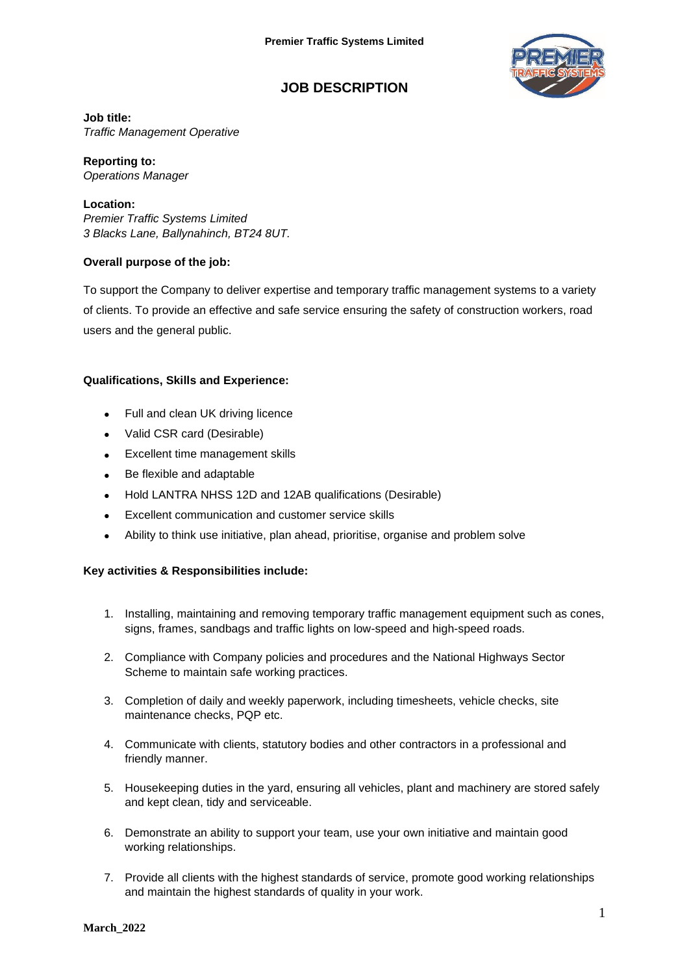

# **JOB DESCRIPTION**

### **Job title:**

*Traffic Management Operative*

**Reporting to:** *Operations Manager*

### **Location:**

*Premier Traffic Systems Limited 3 Blacks Lane, Ballynahinch, BT24 8UT.*

# **Overall purpose of the job:**

To support the Company to deliver expertise and temporary traffic management systems to a variety of clients. To provide an effective and safe service ensuring the safety of construction workers, road users and the general public.

# **Qualifications, Skills and Experience:**

- Full and clean UK driving licence
- Valid CSR card (Desirable)
- Excellent time management skills
- Be flexible and adaptable
- Hold LANTRA NHSS 12D and 12AB qualifications (Desirable)
- Excellent communication and customer service skills
- Ability to think use initiative, plan ahead, prioritise, organise and problem solve

# **Key activities & Responsibilities include:**

- 1. Installing, maintaining and removing temporary traffic management equipment such as cones, signs, frames, sandbags and traffic lights on low-speed and high-speed roads.
- 2. Compliance with Company policies and procedures and the National Highways Sector Scheme to maintain safe working practices.
- 3. Completion of daily and weekly paperwork, including timesheets, vehicle checks, site maintenance checks, PQP etc.
- 4. Communicate with clients, statutory bodies and other contractors in a professional and friendly manner.
- 5. Housekeeping duties in the yard, ensuring all vehicles, plant and machinery are stored safely and kept clean, tidy and serviceable.
- 6. Demonstrate an ability to support your team, use your own initiative and maintain good working relationships.
- 7. Provide all clients with the highest standards of service, promote good working relationships and maintain the highest standards of quality in your work.